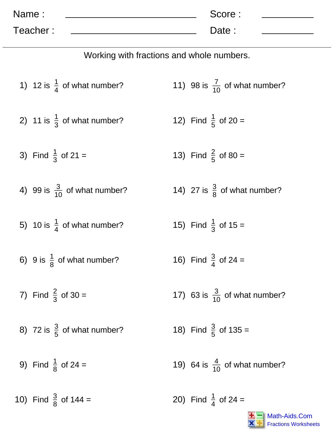| Name:    | Score: |  |
|----------|--------|--|
| Teacher: | Date:  |  |

Working with fractions and whole numbers.

1) 12 is 
$$
\frac{1}{4}
$$
 of what number? 11) 98 is  $\frac{7}{10}$  of what number?

2) 11 is 
$$
\frac{1}{3}
$$
 of what number? 12) Find  $\frac{1}{5}$  of 20 =

3) Find  $\frac{1}{3}$  of 21 = 13) Find  $\frac{2}{5}$  of 80 =

- 4) 99 is  $\frac{3}{10}$  of what number? 14) 27 is  $\frac{3}{8}$  of what number?
- 5) 10 is  $\frac{1}{4}$  of what number? 15) Find  $\frac{1}{3}$  of 15 =
- 6) 9 is  $\frac{1}{8}$  of what number? 16) Find  $\frac{3}{4}$  of 24 =
- 7) Find  $\frac{2}{3}$  of 30 =
- 8) 72 is  $\frac{3}{5}$  of what number?
- 9) Find  $\frac{1}{8}$  of 24 =

10) Find  $\frac{3}{8}$  of 144 =

- 
- 17) 63 is  $\frac{3}{10}$  of what number?
- 18) Find  $\frac{3}{5}$  of 135 =
- 19) 64 is  $\frac{4}{10}$  of what number?

20) Find  $\frac{1}{4}$  of 24 =